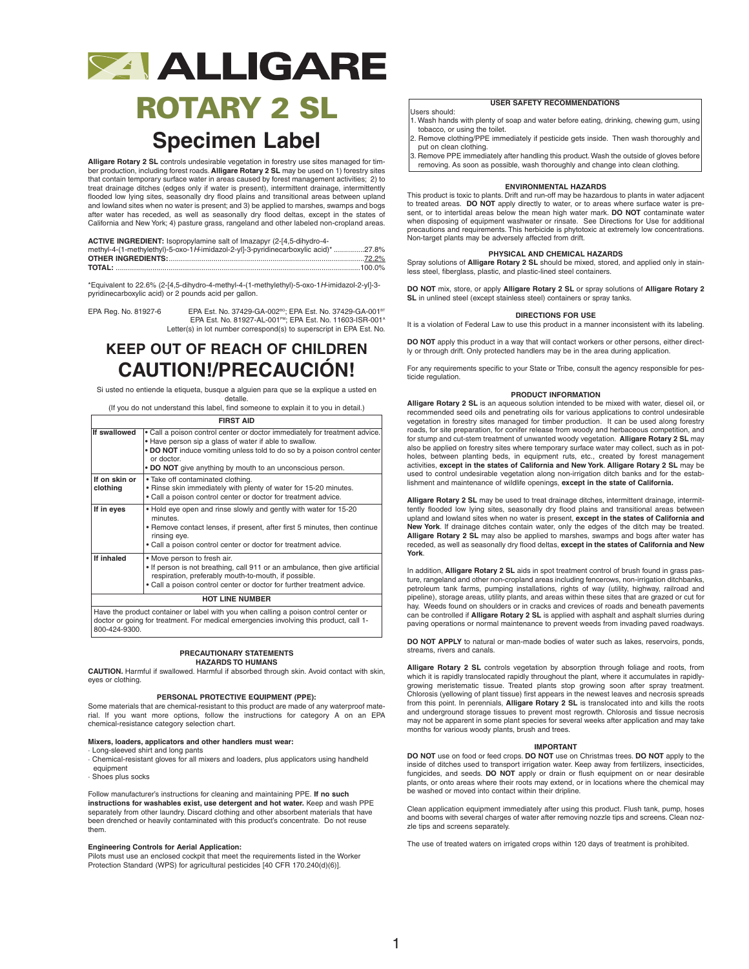## **ZAALLIGARE**

# **ROTARY 2 SL**

### **Specimen Label**

**Alligare Rotary 2 SL** controls undesirable vegetation in forestry use sites managed for timber production, including forest roads. **Alligare Rotary 2 SL** may be used on 1) forestry sites that contain temporary surface water in areas caused by forest management activities; 2) to treat drainage ditches (edges only if water is present), intermittent drainage, intermittently flooded low lying sites, seasonally dry flood plains and transitional areas between upland and lowland sites when no water is present; and 3) be applied to marshes, swamps and bogs after water has receded, as well as seasonally dry flood deltas, except in the states of California and New York; 4) pasture grass, rangeland and other labeled non-cropland areas.

| ACTIVE INGREDIENT: Isopropylamine salt of Imazapyr (2-[4,5-dihydro-4-              |  |
|------------------------------------------------------------------------------------|--|
| methyl-4-(1-methylethyl)-5-oxo-1H-imidazol-2-yl]-3-pyridinecarboxylic acid)* 27.8% |  |
|                                                                                    |  |
|                                                                                    |  |

\*Equivalent to 22.6% (2-[4,5-dihydro-4-methyl-4-(1-methylethyl)-5-oxo-1*H*-imidazol-2-yl]-3 pyridinecarboxylic acid) or 2 pounds acid per gallon.

"EPA Reg. No. 81927-6 EPA Est. No. 37429-GA-002<sup>во</sup>; EPA Est. No. 37429-GA<br>^EPA Est. No. 81927-AL-001<sup>pm</sup>; EPA Est. No. 11603-ISR-001 Letter(s) in lot number correspond(s) to superscript in EPA Est. No.

### **KEEP OUT OF REACH OF CHILDREN CAUTION!/PRECAUCIÓN!**

Si usted no entiende la etiqueta, busque a alguien para que se la explique a usted en detalle.

(If you do not understand this label, find someone to explain it to you in detail.)

| <b>FIRST AID</b> |  |
|------------------|--|
|------------------|--|

| If swallowed           | • Call a poison control center or doctor immediately for treatment advice.<br>. Have person sip a glass of water if able to swallow.<br>. DO NOT induce vomiting unless told to do so by a poison control center<br>or doctor.<br>• DO NOT give anything by mouth to an unconscious person. |  |
|------------------------|---------------------------------------------------------------------------------------------------------------------------------------------------------------------------------------------------------------------------------------------------------------------------------------------|--|
| If on skin or          | . Take off contaminated clothing.                                                                                                                                                                                                                                                           |  |
| clothing               | . Rinse skin immediately with plenty of water for 15-20 minutes.<br>. Call a poison control center or doctor for treatment advice.                                                                                                                                                          |  |
| If in eyes             | . Hold eye open and rinse slowly and gently with water for 15-20<br>minutes.<br>• Remove contact lenses, if present, after first 5 minutes, then continue<br>rinsing eye.<br>• Call a poison control center or doctor for treatment advice.                                                 |  |
| If inhaled             | • Move person to fresh air.<br>. If person is not breathing, call 911 or an ambulance, then give artificial<br>respiration, preferably mouth-to-mouth, if possible.<br>. Call a poison control center or doctor for further treatment advice.                                               |  |
| <b>HOT LINE NUMBER</b> |                                                                                                                                                                                                                                                                                             |  |

Have the product container or label with you when calling a poison control center or doctor or going for treatment. For medical emergencies involving this product, call 1- 800-424-9300.

#### **PRECAUTIONARY STATEMENTS HAZARDS TO HUMANS**

**CAUTION.** Harmful if swallowed. Harmful if absorbed through skin. Avoid contact with skin, eyes or clothing.

#### **PERSONAL PROTECTIVE EQUIPMENT (PPE):**

Some materials that are chemical-resistant to this product are made of any waterproof material. If you want more options, follow the instructions for category A on an EPA chemical-resistance category selection chart.

#### **Mixers, loaders, applicators and other handlers must wear:**

· Long-sleeved shirt and long pants · Chemical-resistant gloves for all mixers and loaders, plus applicators using handheld equipment

· Shoes plus socks

Follow manufacturer's instructions for cleaning and maintaining PPE. **If no such instructions for washables exist, use detergent and hot water.** Keep and wash PPE separately from other laundry. Discard clothing and other absorbent materials that have been drenched or heavily contaminated with this product's concentrate. Do not reuse them.

#### **Engineering Controls for Aerial Application:**

Pilots must use an enclosed cockpit that meet the requirements listed in the Worker Protection Standard (WPS) for agricultural pesticides [40 CFR 170.240(d)(6)].

### **USER SAFETY RECOMMENDATIONS**

- Users should: 1. Wash hands with plenty of soap and water before eating, drinking, chewing gum, using
- tobacco, or using the toilet. 2. Remove clothing/PPE immediately if pesticide gets inside. Then wash thoroughly and
- put on clean clothing. 3. Remove PPE immediately after handling this product.Wash the outside of gloves before
	- removing. As soon as possible, wash thoroughly and change into clean clothing.

### **ENVIRONMENTAL HAZARDS**

This product is toxic to plants. Drift and run-off may be hazardous to plants in water adjacent to treated areas. **DO NOT** apply directly to water, or to areas where surface water is present, or to intertidal areas below the mean high water mark. **DO NOT** contaminate water when disposing of equipment washwater or rinsate. See Directions for Use for additional precautions and requirements. This herbicide is phytotoxic at extremely low concentrations. Non-target plants may be adversely affected from drift.

#### **PHYSICAL AND CHEMICAL HAZARDS**

Spray solutions of **Alligare Rotary 2 SL** should be mixed, stored, and applied only in stainless steel, fiberglass, plastic, and plastic-lined steel containers.

**DO NOT** mix, store, or apply **Alligare Rotary 2 SL** or spray solutions of **Alligare Rotary 2 SL** in unlined steel (except stainless steel) containers or spray tanks.

#### **DIRECTIONS FOR USE**

It is a violation of Federal Law to use this product in a manner inconsistent with its labeling.

**DO NOT** apply this product in a way that will contact workers or other persons, either directly or through drift. Only protected handlers may be in the area during application.

For any requirements specific to your State or Tribe, consult the agency responsible for pesticide regulation.

#### **PRODUCT INFORMATION**

**Alligare Rotary 2 SL** is an aqueous solution intended to be mixed with water, diesel oil, or recommended seed oils and penetrating oils for various applications to control undesirable vegetation in forestry sites managed for timber production. It can be used along forestry roads, for site preparation, for conifer release from woody and herbaceous competition, and for stump and cut-stem treatment of unwanted woody vegetation. **Alligare Rotary 2 SL** may also be applied on forestry sites where temporary surface water may collect, such as in pot-holes, between planting beds, in equipment ruts, etc., created by forest management activities, **except in the states of California and New York**. **Alligare Rotary 2 SL** may be used to control undesirable vegetation along non-irrigation ditch banks and for the establishment and maintenance of wildlife openings, **except in the state of California.**

**Alligare Rotary 2 SL** may be used to treat drainage ditches, intermittent drainage, intermittently flooded low lying sites, seasonally dry flood plains and transitional areas between upland and lowland sites when no water is present, except in the states of California and<br>New York. If drainage ditches contain water, only the edges of the ditch may be treated. **Alligare Rotary 2 SL** may also be applied to marshes, swamps and bogs after water has receded, as well as seasonally dry flood deltas, **except in the states of California and New York**.

In addition, **Alligare Rotary 2 SL** aids in spot treatment control of brush found in grass pasture, rangeland and other non-cropland areas including fencerows, non-irrigation ditchbanks, petroleum tank farms, pumping installations, rights of way (utility, highway, railroad and pipeline), storage areas, utility plants, and areas within these sites that are grazed or cut for hay. Weeds found on shoulders or in cracks and crevices of roads and beneath pavements can be controlled if **Alligare Rotary 2 SL** is applied with asphalt and asphalt slurries during paving operations or normal maintenance to prevent weeds from invading paved roadways.

**DO NOT APPLY** to natural or man-made bodies of water such as lakes, reservoirs, ponds, streams, rivers and canals.

**Alligare Rotary 2 SL** controls vegetation by absorption through foliage and roots, from which it is rapidly translocated rapidly throughout the plant, where it accumulates in rapidlygrowing meristematic tissue. Treated plants stop growing soon after spray treatment. Chlorosis (yellowing of plant tissue) first appears in the newest leaves and necrosis spreads from this point. In perennials, **Alligare Rotary 2 SL** is translocated into and kills the roots and underground storage tissues to prevent most regrowth. Chlorosis and tissue necrosis may not be apparent in some plant species for several weeks after application and may take months for various woody plants, brush and trees.

### **IMPORTANT**

**DO NOT** use on food or feed crops. **DO NOT** use on Christmas trees. **DO NOT** apply to the inside of ditches used to transport irrigation water. Keep away from fertilizers, insecticides, fungicides, and seeds. **DO NOT** apply or drain or flush equipment on or near desirable plants, or onto areas where their roots may extend, or in locations where the chemical may be washed or moved into contact within their dripline.

Clean application equipment immediately after using this product. Flush tank, pump, hoses and booms with several charges of water after removing nozzle tips and screens. Clean nozzle tips and screens separately.

The use of treated waters on irrigated crops within 120 days of treatment is prohibited.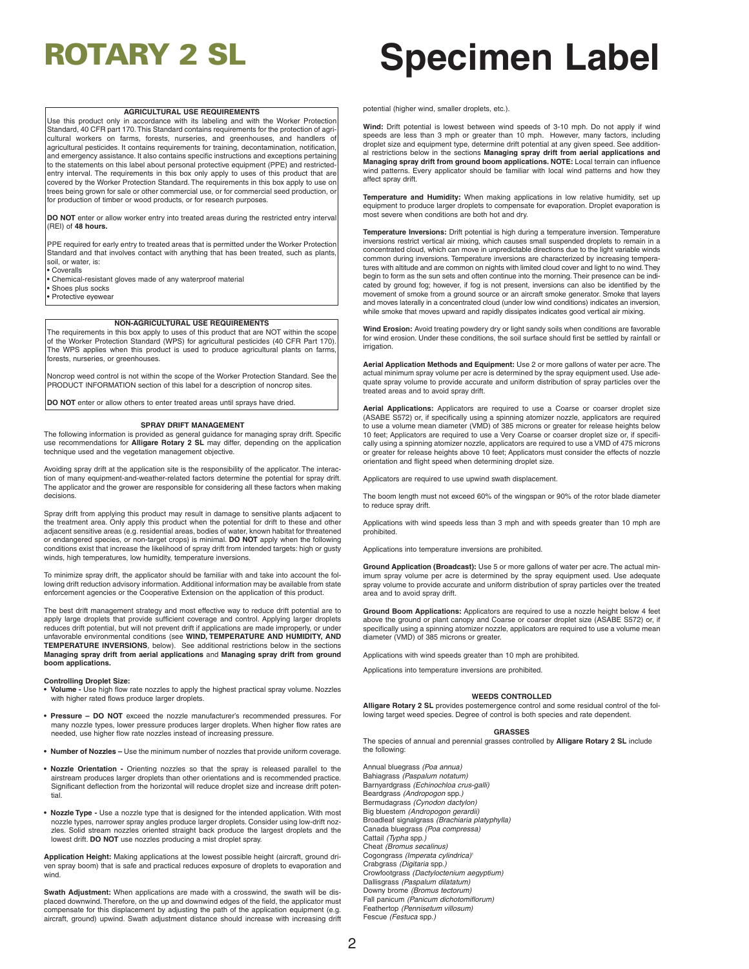#### **AGRICULTURAL USE REQUIREMENTS**

Use this product only in accordance with its labeling and with the Worker Protection Standard, 40 CFR part 170.This Standard contains requirements for the protection of agricultural workers on farms, forests, nurseries, and greenhouses, and handlers of agricultural pesticides. It contains requirements for training, decontamination, notification, and emergency assistance. It also contains specific instructions and exceptions pertaining to the statements on this label about personal protective equipment (PPE) and restrictedentry interval. The requirements in this box only apply to uses of this product that are covered by the Worker Protection Standard. The requirements in this box apply to use on trees being grown for sale or other commercial use, or for commercial seed production, or for production of timber or wood products, or for research purposes.

**DO NOT** enter or allow worker entry into treated areas during the restricted entry interval (REI) of **48 hours.**

PPE required for early entry to treated areas that is permitted under the Worker Protection Standard and that involves contact with anything that has been treated, such as plants soil, or water, is:

- Coveralls
- Chemical-resistant gloves made of any waterproof material • Shoes plus socks
- Protective eyewear

#### **NON-AGRICULTURAL USE REQUIREMENTS**

The requirements in this box apply to uses of this product that are NOT within the scope of the Worker Protection Standard (WPS) for agricultural pesticides (40 CFR Part 170). The WPS applies when this product is used to produce agricultural plants on farms, forests, nurseries, or greenhouses.

Noncrop weed control is not within the scope of the Worker Protection Standard. See the PRODUCT INFORMATION section of this label for a description of noncrop sites.

**DO NOT** enter or allow others to enter treated areas until sprays have dried.

#### **SPRAY DRIFT MANAGEMENT**

The following information is provided as general guidance for managing spray drift. Specific use recommendations for **Alligare Rotary 2 SL** may differ, depending on the application technique used and the vegetation management objective.

Avoiding spray drift at the application site is the responsibility of the applicator. The interac-tion of many equipment-and-weather-related factors determine the potential for spray drift. The applicator and the grower are responsible for considering all these factors when making decisions.

Spray drift from applying this product may result in damage to sensitive plants adjacent to the treatment area. Only apply this product when the potential for drift to these and other adjacent sensitive areas (e.g. residential areas, bodies of water, known habitat for threatened or endangered species, or non-target crops) is minimal. **DO NOT** apply when the following conditions exist that increase the likelihood of spray drift from intended targets: high or gusty winds, high temperatures, low humidity, temperature inversions.

To minimize spray drift, the applicator should be familiar with and take into account the following drift reduction advisory information. Additional information may be available from state enforcement agencies or the Cooperative Extension on the application of this product.

The best drift management strategy and most effective way to reduce drift potential are to apply large droplets that provide sufficient coverage and control. Applying larger droplets reduces drift potential, but will not prevent drift if applications are made improperly, or under unfavorable environmental conditions (see **WIND, TEMPERATURE AND HUMIDITY, AND TEMPERATURE INVERSIONS**, below). See additional restrictions below in the sections **Managing spray drift from aerial applications** and **Managing spray drift from ground boom applications.**

#### **Controlling Droplet Size:**

- **• Volume -** Use high flow rate nozzles to apply the highest practical spray volume. Nozzles with higher rated flows produce larger droplets.
- **• Pressure – DO NOT** exceed the nozzle manufacturer's recommended pressures. For many nozzle types, lower pressure produces larger droplets. When higher flow rates are needed, use higher flow rate nozzles instead of increasing pressure.
- **• Number of Nozzles –** Use the minimum number of nozzles that provide uniform coverage.
- **• Nozzle Orientation -** Orienting nozzles so that the spray is released parallel to the airstream produces larger droplets than other orientations and is recommended practice. Significant deflection from the horizontal will reduce droplet size and increase drift potential.
- **• Nozzle Type -** Use a nozzle type that is designed for the intended application. With most nozzle types, narrower spray angles produce larger droplets. Consider using low-drift noz-zles. Solid stream nozzles oriented straight back produce the largest droplets and the lowest drift. **DO NOT** use nozzles producing a mist droplet spray.

**Application Height:** Making applications at the lowest possible height (aircraft, ground driven spray boom) that is safe and practical reduces exposure of droplets to evaporation and wind.

**Swath Adjustment:** When applications are made with a crosswind, the swath will be displaced downwind. Therefore, on the up and downwind edges of the field, the applicator must compensate for this displacement by adjusting the path of the application equipment (e.g. aircraft, ground) upwind. Swath adjustment distance should increase with increasing drift

## **ROTARY 2 SL Specimen Label**

potential (higher wind, smaller droplets, etc.).

**Wind:** Drift potential is lowest between wind speeds of 3-10 mph. Do not apply if wind speeds are less than 3 mph or greater than 10 mph. However, many factors, including droplet size and equipment type, determine drift potential at any given speed. See additional restrictions below in the sections **Managing spray drift from aerial applications and**<br>**Managing spray drift from ground boom applications. NOTE:** Local terrain can influence wind patterns. Every applicator should be familiar with local wind patterns and how they affect spray drift.

**Temperature and Humidity:** When making applications in low relative humidity, set up equipment to produce larger droplets to compensate for evaporation. Droplet evaporation is most severe when conditions are both hot and dry.

**Temperature Inversions:** Drift potential is high during a temperature inversion. Temperature inversions restrict vertical air mixing, which causes small suspended droplets to remain in a concentrated cloud, which can move in unpredictable directions due to the light variable winds common during inversions. Temperature inversions are characterized by increasing temperatures with altitude and are common on nights with limited cloud cover and light to no wind.They begin to form as the sun sets and often continue into the morning. Their presence can be indicated by ground fog; however, if fog is not present, inversions can also be identified by the movement of smoke from a ground source or an aircraft smoke generator. Smoke that layers and moves laterally in a concentrated cloud (under low wind conditions) indicates an inversion, while smoke that moves upward and rapidly dissipates indicates good vertical air mixing.

**Wind Erosion:** Avoid treating powdery dry or light sandy soils when conditions are favorable for wind erosion. Under these conditions, the soil surface should first be settled by rainfall or irrigation.

**Aerial Application Methods and Equipment:** Use 2 or more gallons of water per acre. The actual minimum spray volume per acre is determined by the spray equipment used. Use ade-quate spray volume to provide accurate and uniform distribution of spray particles over the treated areas and to avoid spray drift.

**Aerial Applications:** Applicators are required to use a Coarse or coarser droplet size (ASABE S572) or, if specifically using a spinning atomizer nozzle, applicators are required to use a volume mean diameter (VMD) of 385 microns or greater for release heights below 10 feet; Applicators are required to use a Very Coarse or coarser droplet size or, if specifi-cally using a spinning atomizer nozzle, applicators are required to use a VMD of 475 microns or greater for release heights above 10 feet; Applicators must consider the effects of nozzle orientation and flight speed when determining droplet size.

Applicators are required to use upwind swath displacement.

The boom length must not exceed 60% of the wingspan or 90% of the rotor blade diameter to reduce spray drift.

Applications with wind speeds less than 3 mph and with speeds greater than 10 mph are prohibited.

Applications into temperature inversions are prohibited.

**Ground Application (Broadcast):** Use 5 or more gallons of water per acre. The actual min-imum spray volume per acre is determined by the spray equipment used. Use adequate spray volume to provide accurate and uniform distribution of spray particles over the treated area and to avoid spray drift.

**Ground Boom Applications:** Applicators are required to use a nozzle height below 4 feet above the ground or plant canopy and Coarse or coarser droplet size (ASABE S572) or, if specifically using a spinning atomizer nozzle, applicators are required to use a volume mean diameter (VMD) of 385 microns or greater.

Applications with wind speeds greater than 10 mph are prohibited.

Applications into temperature inversions are prohibited.

#### **WEEDS CONTROLLED**

**Alligare Rotary 2 SL** provides postemergence control and some residual control of the following target weed species. Degree of control is both species and rate dependent.

#### **GRASSES**

The species of annual and perennial grasses controlled by **Alligare Rotary 2 SL** include the following:

Annual bluegrass *(Poa annua)* Bahiagrass *(Paspalum notatum)* Barnyardgrass *(Echinochloa crus-galli)* Beardgrass *(Andropogon* spp.*)* Bermudagrass *(Cynodon dactylon)* Big bluestem *(Andropogon gerardii)* Broadleaf signalgrass *(Brachiaria platyphylla)* Canada bluegrass *(Poa compressa)* Cattail *(Typha* spp.*)* Cheat *(Bromus secalinus)* Cogongrass *(Imperata cylindrica)* 1 Crabgrass *(Digitaria* spp.*)* Crowfootgrass *(Dactyloctenium aegyptium)* Dallisgrass *(Paspalum dilatatum)* Downy brome *(Bromus tectorum)* Fall panicum *(Panicum dichotomiflorum)* Feathertop *(Pennisetum villosum)* Fescue *(Festuca* spp.*)*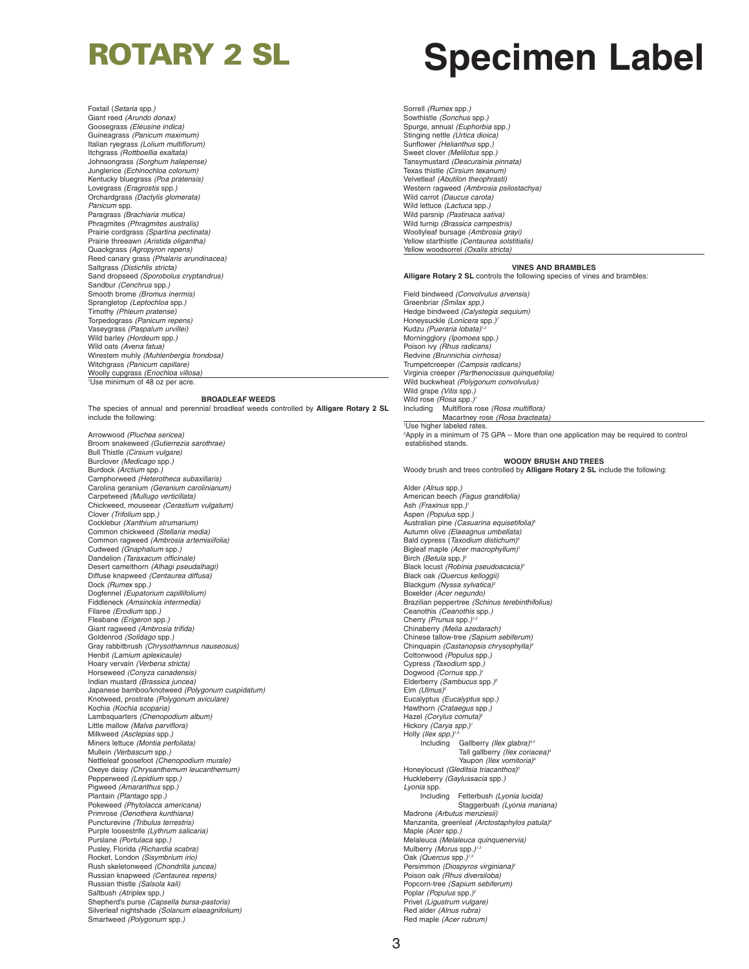Foxtail (*Setaria* spp.*)* Giant reed *(Arundo donax)* Goosegrass *(Eleusine indica)* Guineagrass *(Panicum maximum)* Italian ryegrass *(Lolium multiflorum)* Itchgrass *(Rottboellia exaltata)* Johnsongrass *(Sorghum halepense)* Junglerice *(Echinochloa colonum)* Kentucky bluegrass *(Poa pratensis)* Lovegrass *(Eragrostis* spp.*)* Orchardgrass *(Dactylis glomerata) Panicum* spp. Paragrass *(Brachiaria mutica)* Phragmites *(Phragmites australis)* Prairie cordgrass *(Spartina pectinata)* Prairie threeawn *(Aristida oligantha)* Quackgrass *(Agropyron repens)* Reed canary grass *(Phalaris arundinacea)* Saltgrass *(Distichlis stricta)* Sand dropseed *(Sporobolus cryptandrus)* Sandbur *(Cenchrus* spp.*)* Smooth brome *(Bromus inermis)* Sprangletop *(Leptochloa* spp.*)* Timothy *(Phleum pratense)* Torpedograss *(Panicum repens)* Vaseygrass *(Paspalum urvillei)* Wild barley *(Hordeum* spp.*)* Wild oats *(Avena fatua)* Wirestem muhly *(Muhlenbergia frondosa)* Witchgrass *(Panicum capillare)* Woolly cupgrass *(Eriochloa villosa)* 1 Use minimum of 48 oz per acre.

#### **BROADLEAF WEEDS**

The species of annual and perennial broadleaf weeds controlled by **Alligare Rotary 2 SL** include the following:

Arrowwood *(Pluchea sericea)* Broom snakeweed *(Gutierrezia sarothrae)* Bull Thistle *(Cirsium vulgare)* Burclover *(Medicago* spp*.)* Burdock *(Arctium* spp*.)* Camphorweed *(Heterotheca subaxillaris)* Carolina geranium *(Geranium carolinianum)* Carpetweed *(Mullugo verticillata)* Chickweed, mouseear *(Cerastium vulgatum)* Clover *(Trifolium* spp*.)* Cocklebur *(Xanthium strumarium)* Common chickweed *(Stellaria media)* Common ragweed *(Ambrosia artemisiifolia)* Cudweed *(Gnaphalium* spp*.)* Dandelion *(Taraxacum officinale)* Desert camelthorn *(Alhagi pseudalhagi)* Diffuse knapweed *(Centaurea diffusa)* Dock *(Rumex* spp*.)* Dogfennel *(Eupatorium capillifolium)* Fiddleneck *(Amsinckia intermedia)* Filaree *(Erodium* spp*.)* Fleabane *(Erigeron* spp*.)* Giant ragweed *(Ambrosia trifida)* Goldenrod *(Solidago* spp*.)* Gray rabbitbrush *(Chrysothamnus nauseosus)* Henbit *(Lamium aplexicaule)* Hoary vervain *(Verbena stricta)* Horseweed *(Conyza canadensis)* Indian mustard *(Brassica juncea)* Japanese bamboo/knotweed *(Polygonum cuspidatum)* Knotweed, prostrate *(Polygonum aviculare)* Kochia *(Kochia scoparia)* Lambsquarters *(Chenopodium album)* Little mallow *(Malva parviflora)* Milkweed *(Asclepias* spp*.)* Miners lettuce *(Montia perfoliata)* Mullein *(Verbascum* spp*.)* Nettleleaf goosefoot *(Chenopodium murale)* Oxeye daisy *(Chrysanthemum leucanthemum)* Pepperweed *(Lepidium* spp.*)* Pigweed *(Amaranthus* spp.*)* Plantain *(Plantago* spp*.)* Pokeweed *(Phytolacca americana)* Primrose *(Oenothera kunthiana)* Puncturevine *(Tribulus terrestris)* Purple loosestrife *(Lythrum salicaria)* Purslane *(Portulaca* spp*.)* Pusley, Florida *(Richardia scabra)* Rocket, London *(Sisymbrium irio)* Rush skeletonweed *(Chondrilla juncea)* Russian knapweed *(Centaurea repens)* Russian thistle *(Salsola kali)* Saltbush *(Atriplex* spp*.)* Shepherd's purse *(Capsella bursa-pastoris)* Silverleaf nightshade *(Solanum elaeagnifolium)* Smartweed *(Polygonum* spp*.)*

## **ROTARY 2 SL Specimen Label**

Sorrell *(Rumex* spp*.)* Sowthistle *(Sonchus* spp*.)* Spurge, annual *(Euphorbia* spp*.)* Stinging nettle *(Urtica dioica)* Sunflower *(Helianthus* spp*.)* Sweet clover *(Melilotus* spp*.)* Tansymustard *(Descurainia pinnata)* Texas thistle *(Cirsium texanum)* Velvetleaf *(Abutilon theophrasti)* Western ragweed *(Ambrosia psilostachya)* Wild carrot *(Daucus carota)* Wild lettuce *(Lactuca* spp*.)* Wild parsnip *(Pastinaca sativa)* Wild turnip *(Brassica campestris)* Woollyleaf bursage *(Ambrosia grayi)* Yellow starthistle *(Centaurea solstitialis)* Yellow woodsorrel *(Oxalis stricta)*

#### **VINES AND BRAMBLES**

**Alligare Rotary 2 SL** controls the following species of vines and brambles:

Field bindweed *(Convolvulus arvensis)* Greenbriar *(Smilax spp.)* Hedge bindweed *(Calystegia sequium)* Honeysuckle *(Lonicera* spp*.) 1* Kudzu *(Pueraria lobata) 1,2* Morningglory *(Ipomoea* spp*.)* Poison ivy *(Rhus radicans)* Redvine *(Brunnichia cirrhosa)* Trumpetcreeper *(Campsis radicans)* Virginia creeper *(Parthenocissus quinquefolia)* Wild buckwheat *(Polygonum convolvulus)* Wild grape *(Vitis* spp*.)* Wild rose *(Rosa* spp*.) 1* Including Multiflora rose *(Rosa multiflora)* Macartney rose *(Rosa bracteata)* 1 Use higher labeled rates. 2 Apply in a minimum of 75 GPA – More than one application may be required to control established stands.

#### **WOODY BRUSH AND TREES**

Woody brush and trees controlled by **Alligare Rotary 2 SL** include the following:

Alder *(Alnus* spp*.)* American beech *(Fagus grandifolia)* Ash *(Fraxinus* spp*.) 1* Aspen *(Populus* spp*.)* Australian pine *(Casuarina equisetifolia) 5* Autumn olive *(Elaeagnus umbellata)* Bald cypress (*Taxodium distichum) 4* Bigleaf maple *(Acer macrophyllum)* Birch *(Betula* spp*.) 5* Black locust *(Robinia pseudoacacia) 5* Black oak *(Quercus kelloggii)* Blackgum *(Nyssa sylvatica) 2* Boxelder *(Acer negundo)* Brazilian peppertree *(Schinus terebinthifolius)* Ceanothis *(Ceanothis* spp*.)* Cherry *(Prunus* spp*.) 1,2* Chinaberry *(Melia azedarach)* Chinese tallow-tree *(Sapium sebiferum)* Chinquapin *(Castanopsis chrysophylla) 4* Cottonwood *(Populus* spp*.)* Cypress *(Taxodium* spp*.)* Dogwood *(Cornus* spp*.) 1* Elderberry *(Sambucus* spp*.) 5* Elm *(Ulmus) 5* Eucalyptus *(Eucalyptus* spp*.)* Hawthorn *(Crataegus* spp*.)* Hazel *(Corylus comuta) 5* Hickory *(Carya spp.) 1* Holly *(Ilex spp.) 1,4* Including Gallberry *(Ilex glabra) 4,5* Tall gallberry *(Ilex coriacea) 4* Yaupon *(Ilex vomitoria) 4* Honeylocust *(Gleditsia triacanthos) 5* Huckleberry *(Gaylussacia* spp*.) Lyonia* spp*.* Including Fetterbush *(Lyonia lucida)* Staggerbush *(Lyonia mariana)* Madrone *(Arbutus menziesii)* Manzanita, greenleaf *(Arctostaphylos patula) 4* Maple *(Acer* spp*.)* Melaleuca *(Melaleuca quinquenervia)* Mulberry *(Morus* spp*.) 1,3* Oak *(Quercus* spp*.) 1,3* Persimmon *(Diospyros virginiana) 2* Poison oak *(Rhus diversiloba)* Popcorn-tree *(Sapium sebiferum)* Poplar *(Populus* spp*.) 2* Privet *(Ligustrum vulgare)* Red alder *(Alnus rubra)* Red maple *(Acer rubrum)*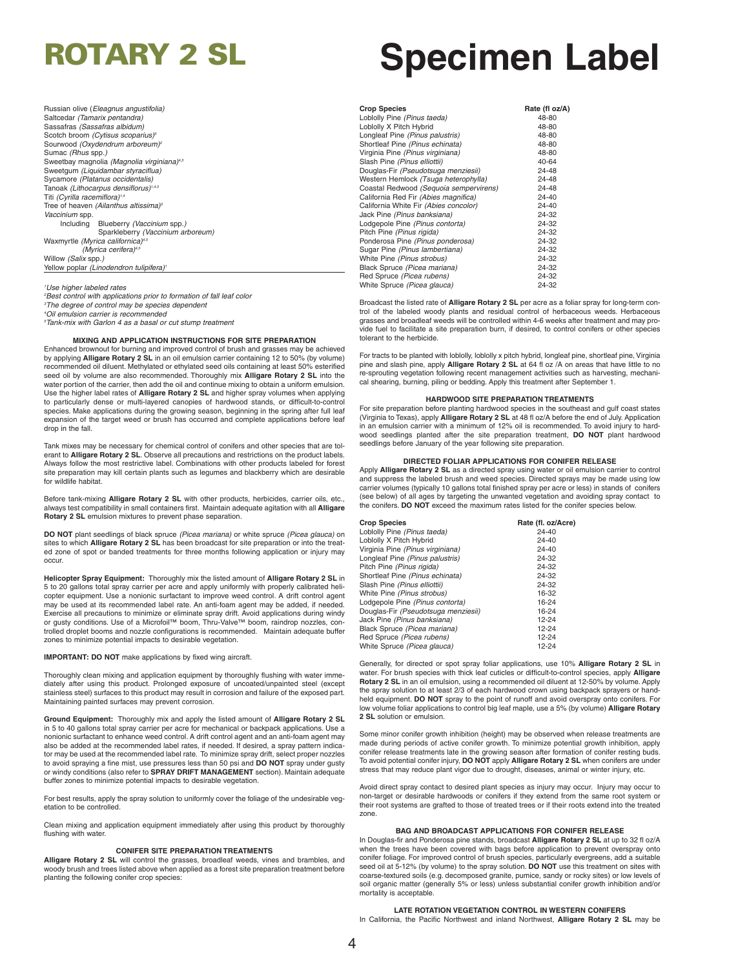Russian olive (*Eleagnus angustifolia)* Saltcedar *(Tamarix pentandra)* Sassafras *(Sassafras albidum)* Scotch broom *(Cytisus scoparius) 5* Sourwood *(Oxydendrum arboreum) 2* Sumac *(Rhus* spp*.)* Sweetbay magnolia *(Magnolia virginiana) 4,5* Sweetgum *(Liquidambar styraciflua)* Sycamore *(Platanus occidentalis)* Tanoak *(Lithocarpus densiflorus) 1,4,5* Titi *(Cyrilla racemiflora) 1,4* Tree of heaven *(Ailanthus altissima) 5 Vaccinium* spp*.* Including Blueberry *(Vaccinium* spp*.)* Sparkleberry *(Vaccinium arboreum)* Waxmyrtle *(Myrica californica) 4,5 (Myrica cerifera) 4,5* Willow *(Salix* spp*.)* Yellow poplar *(Linodendron tulipifera) 1*

#### *1 Use higher labeled rates 2 Best control with applications prior to formation of fall leaf color 3 The degree of control may be species dependent 4 Oil emulsion carrier is recommended 5 Tank-mix with Garlon 4 as a basal or cut stump treatment*

#### **MIXING AND APPLICATION INSTRUCTIONS FOR SITE PREPARATION**

Enhanced brownout for burning and improved control of brush and grasses may be achieved by applying **Alligare Rotary 2 SL** in an oil emulsion carrier containing 12 to 50% (by volume) recommended oil diluent. Methylated or ethylated seed oils containing at least 50% esterified seed oil by volume are also recommended. Thoroughly mix **Alligare Rotary 2 SL** into the water portion of the carrier, then add the oil and continue mixing to obtain a uniform emulsion. Use the higher label rates of **Alligare Rotary 2 SL** and higher spray volumes when applying to particularly dense or multi-layered canopies of hardwood stands, or difficult-to-control species. Make applications during the growing season, beginning in the spring after full leaf expansion of the target weed or brush has occurred and complete applications before leaf drop in the fall.

Tank mixes may be necessary for chemical control of conifers and other species that are tolerant to **Alligare Rotary 2 SL**. Observe all precautions and restrictions on the product labels. Always follow the most restrictive label. Combinations with other products labeled for forest site preparation may kill certain plants such as legumes and blackberry which are desirable for wildlife habitat.

Before tank-mixing **Alligare Rotary 2 SL** with other products, herbicides, carrier oils, etc.,<br>always test compatibility in small containers first. Maintain adequate agitation with all **Alligare Rotary 2 SL** emulsion mixtures to prevent phase separation.

**DO NOT** plant seedlings of black spruce *(Picea mariana)* or white spruce *(Picea glauca)* on sites to which **Alligare Rotary 2 SL** has been broadcast for site preparation or into the treated zone of spot or banded treatments for three months following application or injury may occur.

**Helicopter Spray Equipment:** Thoroughly mix the listed amount of **Alligare Rotary 2 SL** in 5 to 20 gallons total spray carrier per acre and apply uniformly with properly calibrated helicopter equipment. Use a nonionic surfactant to improve weed control. A drift control agent may be used at its recommended label rate. An anti-foam agent may be added, if needed. Exercise all precautions to minimize or eliminate spray drift. Avoid applications during windy or gusty conditions. Use of a Microfoil™ boom, Thru-Valve™ boom, raindrop nozzles, controlled droplet booms and nozzle configurations is recommended. Maintain adequate buffer zones to minimize potential impacts to desirable vegetation.

### **IMPORTANT: DO NOT** make applications by fixed wing aircraft.

Thoroughly clean mixing and application equipment by thoroughly flushing with water immediately after using this product. Prolonged exposure of uncoated/unpainted steel (except stainless steel) surfaces to this product may result in corrosion and failure of the exposed part. Maintaining painted surfaces may prevent corrosion.

**Ground Equipment:** Thoroughly mix and apply the listed amount of **Alligare Rotary 2 SL** in 5 to 40 gallons total spray carrier per acre for mechanical or backpack applications. Use a nonionic surfactant to enhance weed control. A drift control agent and an anti-foam agent may also be added at the recommended label rates, if needed. If desired, a spray pattern indicator may be used at the recommended label rate. To minimize spray drift, select proper nozzles to avoid spraying a fine mist, use pressures less than 50 psi and **DO NOT** spray under gusty or windy conditions (also refer to **SPRAY DRIFT MANAGEMENT** section). Maintain adequate buffer zones to minimize potential impacts to desirable vegetation.

For best results, apply the spray solution to uniformly cover the foliage of the undesirable vegetation to be controlled.

Clean mixing and application equipment immediately after using this product by thoroughly flushing with water.

#### **CONIFER SITE PREPARATION TREATMENTS**

**Alligare Rotary 2 SL** will control the grasses, broadleaf weeds, vines and brambles, and woody brush and trees listed above when applied as a forest site preparation treatment before planting the following conifer crop species:

## **ROTARY 2 SL Specimen Label**

| <b>Crop Species</b>                    | Rate (fl oz/A) |
|----------------------------------------|----------------|
| Loblolly Pine (Pinus taeda)            | 48-80          |
| Loblolly X Pitch Hybrid                | 48-80          |
| Longleaf Pine (Pinus palustris)        | 48-80          |
| Shortleaf Pine (Pinus echinata)        | 48-80          |
| Virginia Pine (Pinus virginiana)       | 48-80          |
| Slash Pine (Pinus elliottii)           | 40-64          |
| Douglas-Fir (Pseudotsuga menziesii)    | 24-48          |
| Western Hemlock (Tsuga heterophylla)   | 24-48          |
| Coastal Redwood (Sequoia sempervirens) | 24-48          |
| California Red Fir (Abies magnifica)   | $24 - 40$      |
| California White Fir (Abies concolor)  | $24 - 40$      |
| Jack Pine (Pinus banksiana)            | 24-32          |
| Lodgepole Pine (Pinus contorta)        | 24-32          |
| Pitch Pine (Pinus rigida)              | 24-32          |
| Ponderosa Pine (Pinus ponderosa)       | 24-32          |
| Sugar Pine (Pinus lambertiana)         | 24-32          |
| White Pine (Pinus strobus)             | 24-32          |
| Black Spruce (Picea mariana)           | 24-32          |
| Red Spruce (Picea rubens)              | 24-32          |
| White Spruce (Picea glauca)            | 24-32          |

Broadcast the listed rate of **Alligare Rotary 2 SL** per acre as a foliar spray for long-term control of the labeled woody plants and residual control of herbaceous weeds. Herbaceous grasses and broadleaf weeds will be controlled within 4-6 weeks after treatment and may provide fuel to facilitate a site preparation burn, if desired, to control conifers or other species tolerant to the herbicide.

For tracts to be planted with loblolly, loblolly x pitch hybrid, longleaf pine, shortleaf pine, Virginia pine and slash pine, apply **Alligare Rotary 2 SL** at 64 fl oz /A on areas that have little to no re-sprouting vegetation following recent management activities such as harvesting, mechani-cal shearing, burning, piling or bedding. Apply this treatment after September 1.

#### **HARDWOOD SITE PREPARATION TREATMENTS**

For site preparation before planting hardwood species in the southeast and gulf coast states (Virginia to Texas), apply **Alligare Rotary 2 SL** at 48 fl oz/A before the end of July. Application in an emulsion carrier with a minimum of 12% oil is recommended. To avoid injury to hardwood seedlings planted after the site preparation treatment, **DO NOT** plant hardwood seedlings before January of the year following site preparation.

#### **DIRECTED FOLIAR APPLICATIONS FOR CONIFER RELEASE**

Apply **Alligare Rotary 2 SL** as a directed spray using water or oil emulsion carrier to control and suppress the labeled brush and weed species. Directed sprays may be made using low carrier volumes (typically 10 gallons total finished spray per acre or less) in stands of conifers (see below) of all ages by targeting the unwanted vegetation and avoiding spray contact to the conifers. **DO NOT** exceed the maximum rates listed for the conifer species below.

| <b>Crop Species</b>                 | Rate (fl. oz/Acre) |
|-------------------------------------|--------------------|
| Loblolly Pine (Pinus taeda)         | $24 - 40$          |
| Loblolly X Pitch Hybrid             | 24-40              |
| Virginia Pine (Pinus virginiana)    | $24 - 40$          |
| Longleaf Pine (Pinus palustris)     | 24-32              |
| Pitch Pine (Pinus rigida)           | 24-32              |
| Shortleaf Pine (Pinus echinata)     | 24-32              |
| Slash Pine (Pinus elliottii)        | 24-32              |
| White Pine (Pinus strobus)          | 16-32              |
| Lodgepole Pine (Pinus contorta)     | 16-24              |
| Douglas-Fir (Pseudotsuga menziesii) | 16-24              |
| Jack Pine (Pinus banksiana)         | 12-24              |
| Black Spruce (Picea mariana)        | 12-24              |
| Red Spruce (Picea rubens)           | 12-24              |
| White Spruce (Picea glauca)         | 12-24              |

Generally, for directed or spot spray foliar applications, use 10% **Alligare Rotary 2 SL** in water. For brush species with thick leaf cuticles or difficult-to-control species, apply **Alligare Rotary 2 SL** in an oil emulsion, using a recommended oil diluent at 12-50% by volume. Apply the spray solution to at least 2/3 of each hardwood crown using backpack sprayers or handheld equipment. **DO NOT** spray to the point of runoff and avoid overspray onto conifers. For low volume foliar applications to control big leaf maple, use a 5% (by volume) **Alligare Rotary 2 SL** solution or emulsion.

Some minor conifer growth inhibition (height) may be observed when release treatments are made during periods of active conifer growth. To minimize potential growth inhibition, apply conifer release treatments late in the growing season after formation of conifer resting buds. To avoid potential conifer injury, **DO NOT** apply **Alligare Rotary 2 SL** when conifers are under stress that may reduce plant vigor due to drought, diseases, animal or winter injury, etc.

Avoid direct spray contact to desired plant species as injury may occur. Injury may occur to non-target or desirable hardwoods or conifers if they extend from the same root system or their root systems are grafted to those of treated trees or if their roots extend into the treated zone.

#### **BAG AND BROADCAST APPLICATIONS FOR CONIFER RELEASE**

In Douglas-fir and Ponderosa pine stands, broadcast **Alligare Rotary 2 SL** at up to 32 fl oz/A when the trees have been covered with bags before application to prevent overspray onto conifer foliage. For improved control of brush species, particularly evergreens, add a suitable seed oil at 5-12% (by volume) to the spray solution. **DO NOT** use this treatment on sites with coarse-textured soils (e.g. decomposed granite, pumice, sandy or rocky sites) or low levels of soil organic matter (generally 5% or less) unless substantial conifer growth inhibition and/or mortality is acceptable.

#### **LATE ROTATION VEGETATION CONTROL IN WESTERN CONIFERS**

In California, the Pacific Northwest and inland Northwest, **Alligare Rotary 2 SL** may be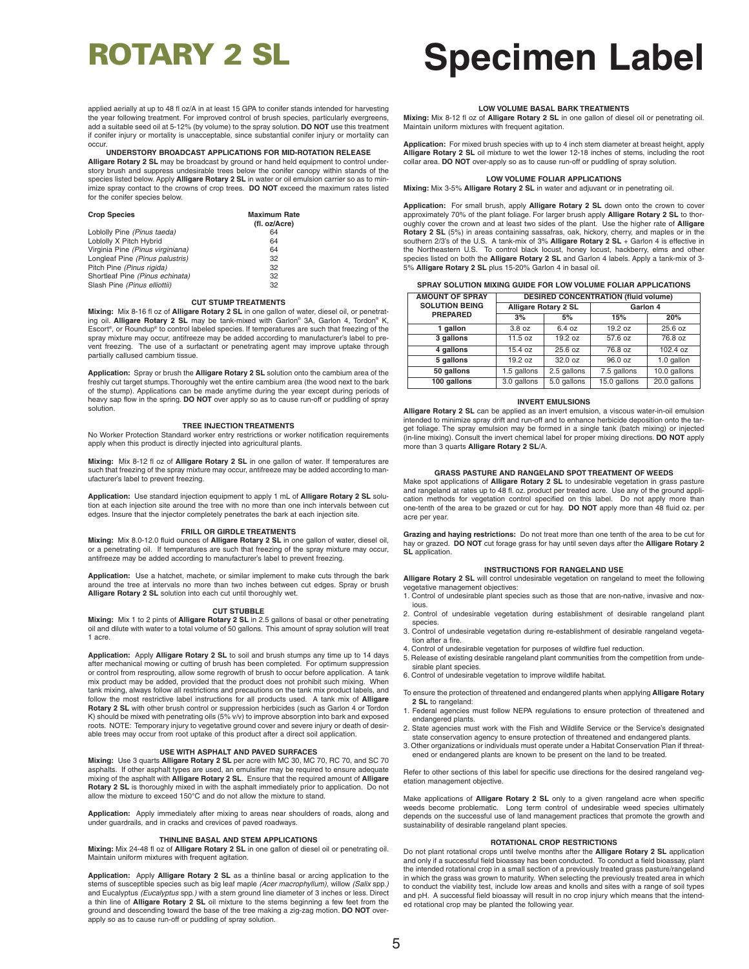# **ROTARY 2 SL Specimen Label**

applied aerially at up to 48 fl oz/A in at least 15 GPA to conifer stands intended for harvesting the year following treatment. For improved control of brush species, particularly evergreens add a suitable seed oil at 5-12% (by volume) to the spray solution. **DO NOT** use this treatment if conifer injury or mortality is unacceptable, since substantial conifer injury or mortality can occur.

**UNDERSTORY BROADCAST APPLICATIONS FOR MID-ROTATION RELEASE Alligare Rotary 2 SL** may be broadcast by ground or hand held equipment to control under-

story brush and suppress undesirable trees below the conifer canopy within stands of the species listed below. Apply **Alligare Rotary 2 SL** in water or oil emulsion carrier so as to minimize spray contact to the crowns of crop trees. **DO NOT** exceed the maximum rates listed for the conifer species below.

| <b>Crop Species</b>              | <b>Maximum Rate</b><br>(fl. oz/Acre) |
|----------------------------------|--------------------------------------|
| Loblolly Pine (Pinus taeda)      | 64                                   |
| Loblolly X Pitch Hybrid          | 64                                   |
| Virginia Pine (Pinus virginiana) | 64                                   |
| Longleaf Pine (Pinus palustris)  | 32                                   |
| Pitch Pine (Pinus rigida)        | 32                                   |
| Shortleaf Pine (Pinus echinata)  | 32                                   |
| Slash Pine (Pinus elliottii)     | 32                                   |

#### **CUT STUMP TREATMENTS**

**Mixing:** Mix 8-16 fl oz of **Alligare Rotary 2 SL** in one gallon of water, diesel oil, or penetrating oil. **Alligare Rotary 2 SL** may be tank-mixed with Garlon® 3A, Garlon 4, Tordon® K, Escort ®, or Roundup® to control labeled species. If temperatures are such that freezing of the spray mixture may occur, antifreeze may be added according to manufacturer's label to prevent freezing. The use of a surfactant or penetrating agent may improve uptake through partially callused cambium tissue.

**Application:** Spray or brush the **Alligare Rotary 2 SL** solution onto the cambium area of the<br>freshly cut target stumps. Thoroughly wet the entire cambium area (the wood next to the bark<br>of the stump). Applications can be heavy sap flow in the spring. **DO NOT** over apply so as to cause run-off or puddling of spray solution.

#### **TREE INJECTION TREATMENTS**

No Worker Protection Standard worker entry restrictions or worker notification requirements apply when this product is directly injected into agricultural plants.

**Mixing:** Mix 8-12 fl oz of **Alligare Rotary 2 SL** in one gallon of water. If temperatures are such that freezing of the spray mixture may occur, antifreeze may be added according to manufacturer's label to prevent freezing.

**Application:** Use standard injection equipment to apply 1 mL of **Alligare Rotary 2 SL** solution at each injection site around the tree with no more than one inch intervals between cut edges. Insure that the injector completely penetrates the bark at each injection site.

#### **FRILL OR GIRDLE TREATMENTS**

**Mixing:** Mix 8.0-12.0 fluid ounces of **Alligare Rotary 2 SL** in one gallon of water, diesel oil, or a penetrating oil. If temperatures are such that freezing of the spray mixture may occur, antifreeze may be added according to manufacturer's label to prevent freezing.

**Application:** Use a hatchet, machete, or similar implement to make cuts through the bark around the tree at intervals no more than two inches between cut edges. Spray or brush **Alligare Rotary 2 SL** solution into each cut until thoroughly wet.

#### **CUT STUBBLE**

**Mixing:** Mix 1 to 2 pints of **Alligare Rotary 2 SL** in 2.5 gallons of basal or other penetrating oil and dilute with water to a total volume of 50 gallons. This amount of spray solution will treat 1 acre.

**Application:** Apply **Alligare Rotary 2 SL** to soil and brush stumps any time up to 14 days after mechanical mowing or cutting of brush has been completed. For optimum suppression or control from resprouting, allow some regrowth of brush to occur before application. A tank mix product may be added, provided that the product does not prohibit such mixing. When tank mixing, always follow all restrictions and precautions on the tank mix product labels, and follow the most restrictive label instructions for all products used. A tank mix of **Alligare Rotary 2 SL** with other brush control or suppression herbicides (such as Garlon 4 or Tordon K) should be mixed with penetrating oils (5% v/v) to improve absorption into bark and exposed roots. NOTE: Temporary injury to vegetative ground cover and severe injury or death of desirable trees may occur from root uptake of this product after a direct soil application.

#### **USE WITH ASPHALT AND PAVED SURFACES**

**Mixing:** Use 3 quarts **Alligare Rotary 2 SL** per acre with MC 30, MC 70, RC 70, and SC 70 asphalts. If other asphalt types are used, an emulsifier may be required to ensure adequate mixing of the asphalt with **Alligare Rotary 2 SL**. Ensure that the required amount of **Alligare Rotary 2 SL** is thoroughly mixed in with the asphalt immediately prior to application. Do not allow the mixture to exceed 150°C and do not allow the mixture to stand.

**Application:** Apply immediately after mixing to areas near shoulders of roads, along and under guardrails, and in cracks and crevices of paved roadways.

#### **THINLINE BASAL AND STEM APPLICATIONS**

**Mixing:** Mix 24-48 fl oz of **Alligare Rotary 2 SL** in one gallon of diesel oil or penetrating oil. Maintain uniform mixtures with frequent agitation.

**Application:** Apply **Alligare Rotary 2 SL** as a thinline basal or arcing application to the stems of susceptible species such as big leaf maple *(Acer macrophyllum)*, willow *(Salix* spp.*)* and Eucalyptus *(Eucalyptus* spp.*)* with a stem ground line diameter of 3 inches or less. Direct a thin line of **Alligare Rotary 2 SL** oil mixture to the stems beginning a few feet from the ground and descending toward the base of the tree making a zig-zag motion. **DO NOT** overapply so as to cause run-off or puddling of spray solution.

#### **LOW VOLUME BASAL BARK TREATMENTS**

**Mixing:** Mix 8-12 fl oz of **Alligare Rotary 2 SL** in one gallon of diesel oil or penetrating oil. Maintain uniform mixtures with frequent agitation.

**Application:** For mixed brush species with up to 4 inch stem diameter at breast height, apply **Alligare Rotary 2 SL** oil mixture to wet the lower 12-18 inches of stems, including the root collar area. **DO NOT** over-apply so as to cause run-off or puddling of spray solution.

#### **LOW VOLUME FOLIAR APPLICATIONS**

**Mixing:** Mix 3-5% **Alligare Rotary 2 SL** in water and adjuvant or in penetrating oil.

**Application:** For small brush, apply **Alligare Rotary 2 SL** down onto the crown to cover approximately 70% of the plant foliage. For larger brush apply **Alligare Rotary 2 SL** to thor-oughly cover the crown and at least two sides of the plant. Use the higher rate of **Alligare Rotary 2 SL** (5%) in areas containing sassafras, oak, hickory, cherry, and maples or in the southern 2/3's of the U.S. A tank-mix of 3% **Alligare Rotary 2 SL** + Garlon 4 is effective in the Northeastern U.S. To control black locust, honey locust, hackberry, elms and other species listed on both the **Alligare Rotary 2 SL** and Garlon 4 labels. Apply a tank-mix of 3- 5% **Alligare Rotary 2 SL** plus 15-20% Garlon 4 in basal oil.

|  | SPRAY SOLUTION MIXING GUIDE FOR LOW VOLUME FOLIAR APPLICATIONS |  |  |  |
|--|----------------------------------------------------------------|--|--|--|
|--|----------------------------------------------------------------|--|--|--|

| <b>AMOUNT OF SPRAY</b>                   | <b>DESIRED CONCENTRATION (fluid volume)</b> |             |              |              |
|------------------------------------------|---------------------------------------------|-------------|--------------|--------------|
| <b>SOLUTION BEING</b><br><b>PREPARED</b> | <b>Alligare Rotary 2 SL</b>                 |             | Garlon 4     |              |
|                                          | 3%                                          | 5%          | 15%          | 20%          |
| 1 gallon                                 | 3.8 oz                                      | 6.4 oz      | 19.2 oz      | 25.6 oz      |
| 3 gallons                                | 11.5 oz                                     | 19.2 oz     | 57.6 oz      | 76.8 oz      |
| 4 gallons                                | 15.4 oz                                     | 25.6 oz     | 76.8 oz      | 102.4 oz     |
| 5 gallons                                | 19.2 oz                                     | 32.0 oz     | 96.0 oz      | 1.0 gallon   |
| 50 gallons                               | 1.5 gallons                                 | 2.5 gallons | 7.5 gallons  | 10.0 gallons |
| 100 gallons                              | 3.0 gallons                                 | 5.0 gallons | 15.0 gallons | 20.0 gallons |

#### **INVERT EMULSIONS**

**Alligare Rotary 2 SL** can be applied as an invert emulsion, a viscous water-in-oil emulsion intended to minimize spray drift and run-off and to enhance herbicide deposition onto the target foliage. The spray emulsion may be formed in a single tank (batch mixing) or injected (in-line mixing). Consult the invert chemical label for proper mixing directions. **DO NOT** apply more than 3 quarts **Alligare Rotary 2 SL**/A.

#### **GRASS PASTURE AND RANGELAND SPOT TREATMENT OF WEEDS**

Make spot applications of **Alligare Rotary 2 SL** to undesirable vegetation in grass pasture and rangeland at rates up to 48 fl. oz. product per treated acre. Use any of the ground application methods for vegetation control specified on this label. Do not apply more than one-tenth of the area to be grazed or cut for hay. **DO NOT** apply more than 48 fluid oz. per acre per year.

**Grazing and haying restrictions:** Do not treat more than one tenth of the area to be cut for hay or grazed. **DO NOT** cut forage grass for hay until seven days after the **Alligare Rotary 2 SL** application.

#### **INSTRUCTIONS FOR RANGELAND USE**

**Alligare Rotary 2 SL** will control undesirable vegetation on rangeland to meet the following vegetative management objectives:

1. Control of undesirable plant species such as those that are non-native, invasive and noxious.

- 2. Control of undesirable vegetation during establishment of desirable rangeland plant species.
- 3. Control of undesirable vegetation during re-establishment of desirable rangeland vegetation after a fire.
- 4. Control of undesirable vegetation for purposes of wildfire fuel reduction.
- 5. Release of existing desirable rangeland plant communities from the competition from undesirable plant speci-
- 6. Control of undesirable vegetation to improve wildlife habitat.

To ensure the protection of threatened and endangered plants when applying **Alligare Rotary 2 SL** to rangeland:

- 1. Federal agencies must follow NEPA regulations to ensure protection of threatened and endangered plants.
- 2. State agencies must work with the Fish and Wildlife Service or the Service's designated state conservation agency to ensure protection of threatened and endangered plants.
- 3. Other organizations or individuals must operate under a Habitat Conservation Plan if threatened or endangered plants are known to be present on the land to be treated.

Refer to other sections of this label for specific use directions for the desired rangeland vegetation management objective.

Make applications of **Alligare Rotary 2 SL** only to a given rangeland acre when specific weeds become problematic. Long term control of undesirable weed species ultimately depends on the successful use of land management practices that promote the growth and sustainability of desirable rangeland plant species.

#### **ROTATIONAL CROP RESTRICTIONS**

Do not plant rotational crops until twelve months after the **Alligare Rotary 2 SL** application and only if a successful field bioassay has been conducted. To conduct a field bioassay, plant the intended rotational crop in a small section of a previously treated grass pasture/rangeland in which the grass was grown to maturity. When selecting the previously treated area in which to conduct the viability test, include low areas and knolls and sites with a range of soil types and pH. A successful field bioassay will result in no crop injury which means that the intended rotational crop may be planted the following year.